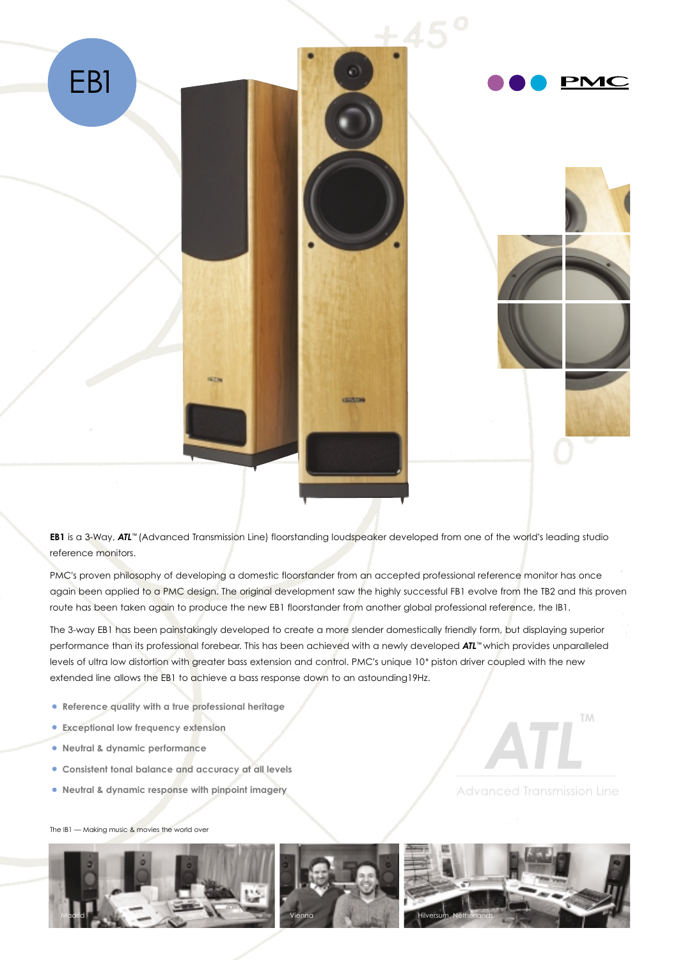





**EB1** is a 3-Way, *ATL*™ (Advanced Transmission Line) floorstanding loudspeaker developed from one of the world's leading studio reference monitors.

PMC's proven philosophy of developing a domestic floorstander from an accepted professional reference monitor has once again been applied to a PMC design. The original development saw the highly successful FB1 evolve from the TB2 and this proven route has been taken again to produce the new EB1 floorstander from another global professional reference, the IB1.

The 3-way EB1 has been painstakingly developed to create a more slender domestically friendly form, but displaying superior performance than its professional forebear. This has been achieved with a newly developed *ATL*™ which provides unparalleled levels of ultra low distortion with greater bass extension and control. PMC's unique 10" piston driver coupled with the new extended line allows the EB1 to achieve a bass response down to an astounding19Hz.

- **Reference quality with a true professional heritage**
- **Exceptional low frequency extension**
- **Neutral & dynamic performance**
- **Consistent tonal balance and accuracy at all levels**
- **Neutral & dynamic response with pinpoint imagery**

**Advanced Transmission Line** 

**TM** 

The IB1 — Making music & movies the world over



**GETS**